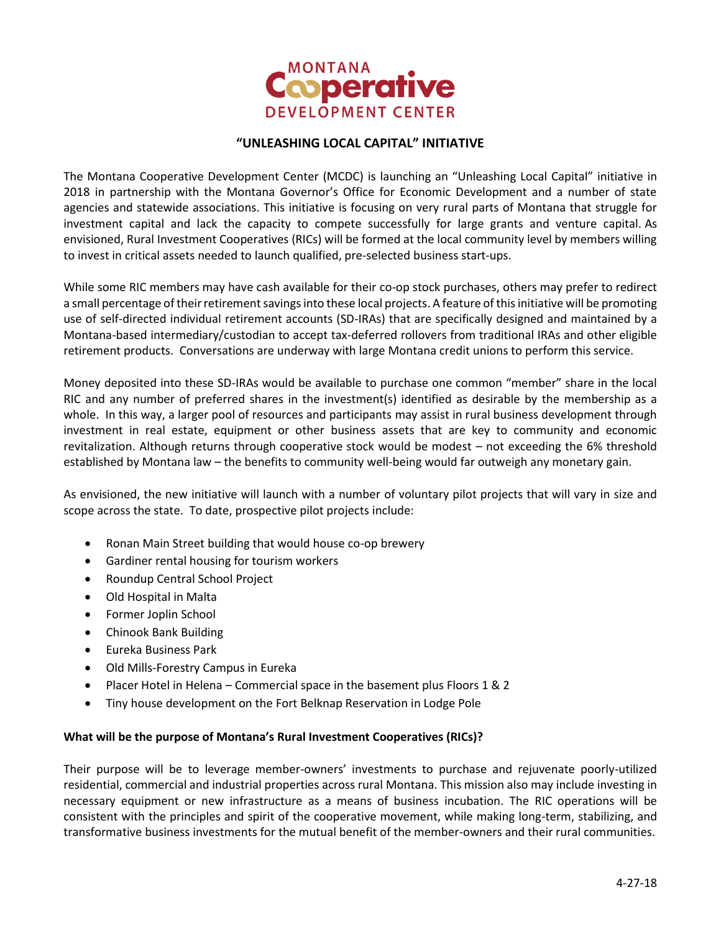

## **"UNLEASHING LOCAL CAPITAL" INITIATIVE**

The Montana Cooperative Development Center (MCDC) is launching an "Unleashing Local Capital" initiative in 2018 in partnership with the Montana Governor's Office for Economic Development and a number of state agencies and statewide associations. This initiative is focusing on very rural parts of Montana that struggle for investment capital and lack the capacity to compete successfully for large grants and venture capital. As envisioned, Rural Investment Cooperatives (RICs) will be formed at the local community level by members willing to invest in critical assets needed to launch qualified, pre-selected business start-ups.

While some RIC members may have cash available for their co-op stock purchases, others may prefer to redirect a small percentage of their retirement savings into these local projects. A feature of this initiative will be promoting use of self-directed individual retirement accounts (SD-IRAs) that are specifically designed and maintained by a Montana-based intermediary/custodian to accept tax-deferred rollovers from traditional IRAs and other eligible retirement products. Conversations are underway with large Montana credit unions to perform this service.

Money deposited into these SD-IRAs would be available to purchase one common "member" share in the local RIC and any number of preferred shares in the investment(s) identified as desirable by the membership as a whole. In this way, a larger pool of resources and participants may assist in rural business development through investment in real estate, equipment or other business assets that are key to community and economic revitalization. Although returns through cooperative stock would be modest – not exceeding the 6% threshold established by Montana law – the benefits to community well-being would far outweigh any monetary gain.

As envisioned, the new initiative will launch with a number of voluntary pilot projects that will vary in size and scope across the state. To date, prospective pilot projects include:

- Ronan Main Street building that would house co-op brewery
- Gardiner rental housing for tourism workers
- Roundup Central School Project
- Old Hospital in Malta
- Former Joplin School
- Chinook Bank Building
- Eureka Business Park
- Old Mills-Forestry Campus in Eureka
- Placer Hotel in Helena Commercial space in the basement plus Floors 1 & 2
- Tiny house development on the Fort Belknap Reservation in Lodge Pole

#### **What will be the purpose of Montana's Rural Investment Cooperatives (RICs)?**

Their purpose will be to leverage member-owners' investments to purchase and rejuvenate poorly-utilized residential, commercial and industrial properties across rural Montana. This mission also may include investing in necessary equipment or new infrastructure as a means of business incubation. The RIC operations will be consistent with the principles and spirit of the cooperative movement, while making long-term, stabilizing, and transformative business investments for the mutual benefit of the member-owners and their rural communities.